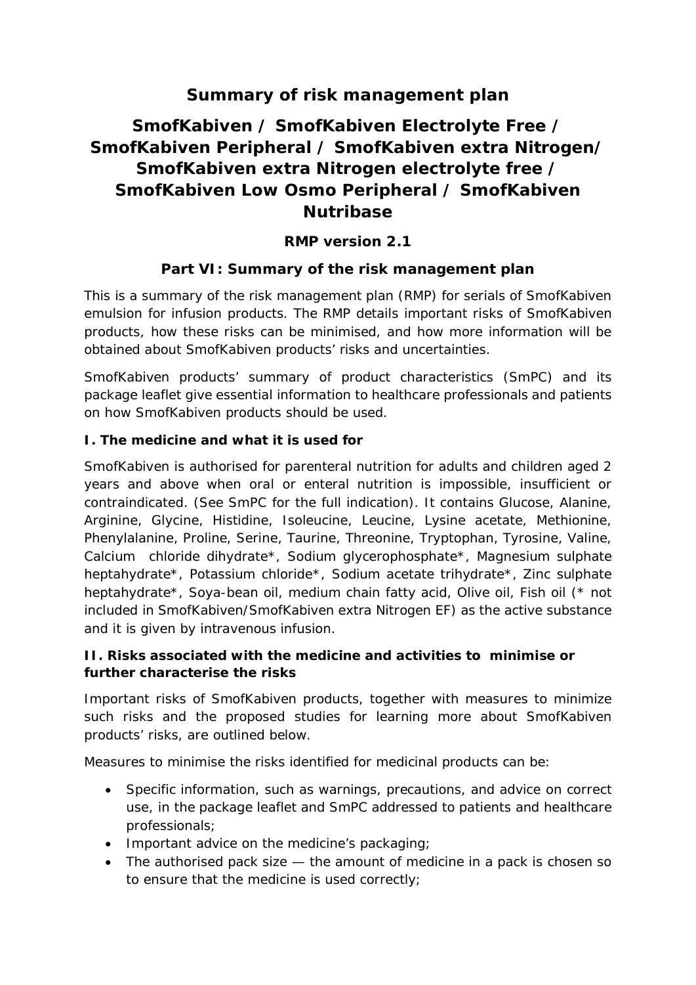## **Summary of risk management plan**

# **SmofKabiven / SmofKabiven Electrolyte Free / SmofKabiven Peripheral / SmofKabiven extra Nitrogen/ SmofKabiven extra Nitrogen electrolyte free / SmofKabiven Low Osmo Peripheral / SmofKabiven Nutribase**

**RMP version 2.1**

#### **Part VI: Summary of the risk management plan**

This is a summary of the risk management plan (RMP) for serials of SmofKabiven emulsion for infusion products. The RMP details important risks of SmofKabiven products, how these risks can be minimised, and how more information will be obtained about SmofKabiven products' risks and uncertainties.

SmofKabiven products' summary of product characteristics (SmPC) and its package leaflet give essential information to healthcare professionals and patients on how SmofKabiven products should be used.

**I. The medicine and what it is used for**

SmofKabiven is authorised for parenteral nutrition for adults and children aged 2 years and above when oral or enteral nutrition is impossible, insufficient or contraindicated. (See SmPC for the full indication). It contains Glucose, Alanine, Arginine, Glycine, Histidine, Isoleucine, Leucine, Lysine acetate, Methionine, Phenylalanine, Proline, Serine, Taurine, Threonine, Tryptophan, Tyrosine, Valine, Calcium chloride dihydrate\*, Sodium glycerophosphate\*, Magnesium sulphate heptahydrate\*, Potassium chloride\*, Sodium acetate trihydrate\*, Zinc sulphate heptahydrate\*, Soya-bean oil, medium chain fatty acid, Olive oil, Fish oil (\* not included in SmofKabiven/SmofKabiven extra Nitrogen EF) as the active substance and it is given by intravenous infusion.

**II. Risks associated with the medicine and activities to minimise or further characterise the risks**

Important risks of SmofKabiven products, together with measures to minimize such risks and the proposed studies for learning more about SmofKabiven products' risks, are outlined below.

Measures to minimise the risks identified for medicinal products can be:

- Specific information, such as warnings, precautions, and advice on correct use, in the package leaflet and SmPC addressed to patients and healthcare professionals;
- Important advice on the medicine's packaging;
- The authorised pack size the amount of medicine in a pack is chosen so to ensure that the medicine is used correctly;